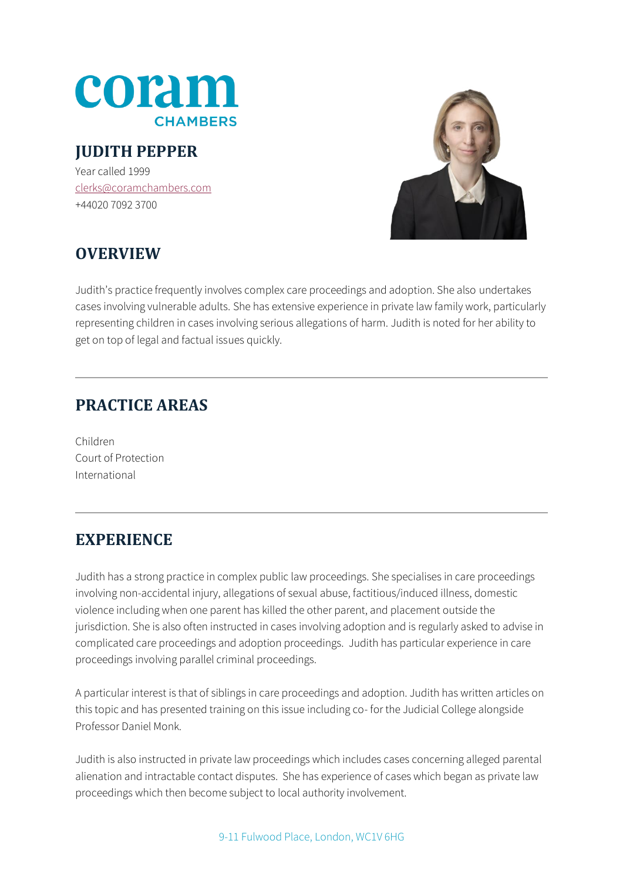

## **JUDITH PEPPER**

Year called 1999 [clerks@coramchambers.com](mailto:clerks@coramchambers.com) +44020 7092 3700



# **OVERVIEW**

Judith's practice frequently involves complex care proceedings and adoption. She also undertakes cases involving vulnerable adults. She has extensive experience in private law family work, particularly representing children in cases involving serious allegations of harm. Judith is noted for her ability to get on top of legal and factual issues quickly.

#### **PRACTICE AREAS**

Children Court of Protection International

#### **EXPERIENCE**

Judith has a strong practice in complex public law proceedings. She specialises in care proceedings involving non-accidental injury, allegations of sexual abuse, factitious/induced illness, domestic violence including when one parent has killed the other parent, and placement outside the jurisdiction. She is also often instructed in cases involving adoption and is regularly asked to advise in complicated care proceedings and adoption proceedings. Judith has particular experience in care proceedings involving parallel criminal proceedings.

A particular interest is that of siblings in care proceedings and adoption. Judith has written articles on this topic and has presented training on this issue including co- for the Judicial College alongside Professor Daniel Monk.

Judith is also instructed in private law proceedings which includes cases concerning alleged parental alienation and intractable contact disputes. She has experience of cases which began as private law proceedings which then become subject to local authority involvement.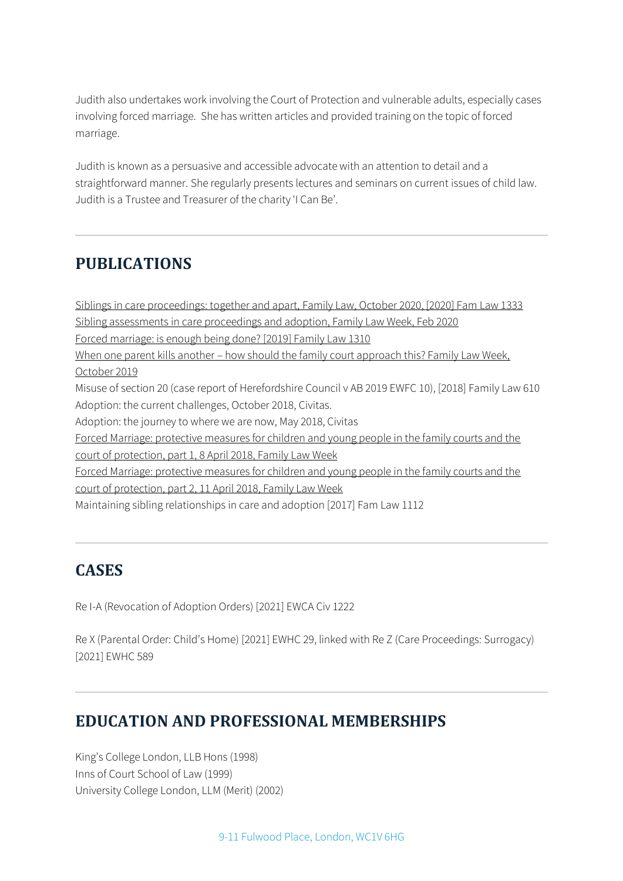Judith also undertakes work involving the Court of Protection and vulnerable adults, especially cases involving forced marriage. She has written articles and provided training on the topic of forced marriage.

Judith is known as a persuasive and accessible advocate with an attention to detail and a straightforward manner. She regularly presents lectures and seminars on current issues of child law. Judith is a Trustee and Treasurer of the charity 'I Can Be'.

### **PUBLICATIONS**

[Siblings in care proceedings: together and apart,](https://www.familylaw.co.uk/news_and_comment/siblings-in-care-proceedings-together-and-apart) Family Law, October 2020, [2020] Fam Law 1333 [Sibling assessments in care proceedings and adoption, Family Law Week, Feb 2020](https://www.familylawweek.co.uk/site.aspx?i=ed209375) [Forced marriage: is enough being done? \[2019\] Family Law 1310](https://www.familylaw.co.uk/news_and_comment/forced-marriage-is-enough-being-done) When one parent kills another – how should the family court approach this? Family Law Week, [October 2019](https://www.familylawweek.co.uk/site.aspx?i=ed204058) Misuse of section 20 (case report of Herefordshire Council v AB 2019 EWFC 10), [2018] Family Law 610 Adoption: the current challenges, October 2018, Civitas. Adoption: the journey to where we are now, May 2018, Civitas Forced Marriage: protective measures for children and young people in the family courts and the [court of protection, part 1, 8 April 2018, Family Law Week](https://www.familylawweek.co.uk/site.aspx?i=ed189143) [Forced Marriage: protective measures for children and young people in the family courts and the](https://www.familylawweek.co.uk/site.aspx?i=ed189211)  [court of protection, part 2, 11 April 2018, Family Law Week](https://www.familylawweek.co.uk/site.aspx?i=ed189211) Maintaining sibling relationships in care and adoption [2017] Fam Law 1112

### **CASES**

Re I-A (Revocation of Adoption Orders) [2021] EWCA Civ 1222

Re X (Parental Order: Child's Home) [2021] EWHC 29, linked with Re Z (Care Proceedings: Surrogacy) [2021] EWHC 589

### **EDUCATION AND PROFESSIONAL MEMBERSHIPS**

King's College London, LLB Hons (1998) Inns of Court School of Law (1999) University College London, LLM (Merit) (2002)